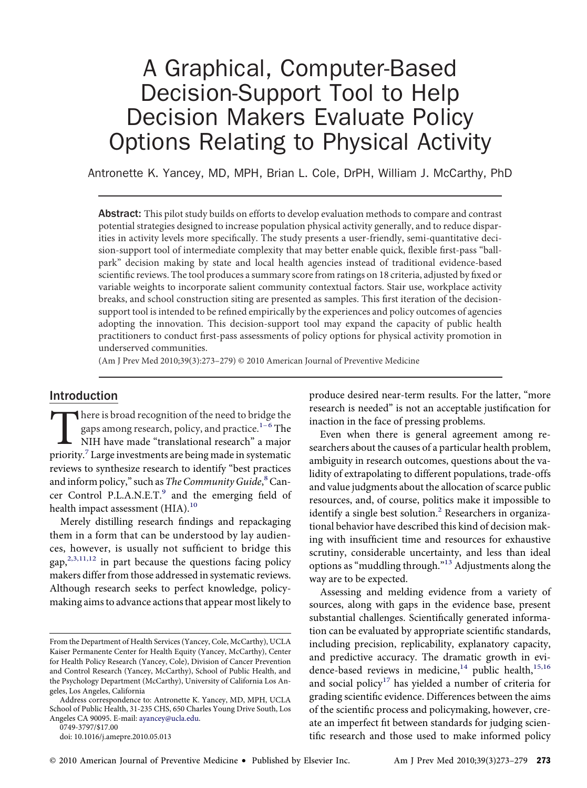# A Graphical, Computer-Based Decision-Support Tool to Help Decision Makers Evaluate Policy Options Relating to Physical Activity

Antronette K. Yancey, MD, MPH, Brian L. Cole, DrPH, William J. McCarthy, PhD

Abstract: This pilot study builds on efforts to develop evaluation methods to compare and contrast potential strategies designed to increase population physical activity generally, and to reduce disparities in activity levels more specifıcally. The study presents a user-friendly, semi-quantitative decision-support tool of intermediate complexity that may better enable quick, flexible fırst-pass "ballpark" decision making by state and local health agencies instead of traditional evidence-based scientifıc reviews. The tool produces a summary score from ratings on 18 criteria, adjusted by fıxed or variable weights to incorporate salient community contextual factors. Stair use, workplace activity breaks, and school construction siting are presented as samples. This fırst iteration of the decisionsupport tool is intended to be refıned empirically by the experiences and policy outcomes of agencies adopting the innovation. This decision-support tool may expand the capacity of public health practitioners to conduct fırst-pass assessments of policy options for physical activity promotion in underserved communities.

(Am J Prev Med 2010;39(3):273–279) © 2010 American Journal of Preventive Medicine

## Introduction

There is broad recognition of the need to br[idge](#page-5-0) the<br>gaps among research, policy, and practice.<sup>1-6</sup> The<br>NIH have made "translational research" a major<br>priority.<sup>7</sup> Large investments are being made in systematic gaps among research, policy, and practice. $^{\mathrm{1-6}}$  The NIH have made "translational research" a major priority.<sup>7</sup> Large investments are being made in systematic reviews to synthesize research to identify "best practices and inform policy," such as The Community Guide, <sup>[8](#page-5-0)</sup> Cancer Control P.L.A.N.E.T.<sup>9</sup> and the emerging field of health impact assessment (HIA).<sup>[10](#page-5-0)</sup>

Merely distilling research fındings and repackaging them in a form that can be understood by lay audiences, however, is usually not suffıcient to bridge this gap, $2,3,11,12$  in part because the questions facing policy makers differ from those addressed in systematic reviews. Although research seeks to perfect knowledge, policymaking aims to advance actions that appear most likely to

0749-3797/\$17.00

produce desired near-term results. For the latter, "more research is needed" is not an acceptable justifıcation for inaction in the face of pressing problems.

Even when there is general agreement among researchers about the causes of a particular health problem, ambiguity in research outcomes, questions about the validity of extrapolating to different populations, trade-offs and value judgments about the allocation of scarce public resources, and, of course, politics make it impossible to identify a single best solution.<sup>2</sup> Researchers in organizational behavior have described this kind of decision making with insuffıcient time and resources for exhaustive scrutiny, considerable uncertainty, and less than ideal options as "muddling through."[13](#page-6-0) Adjustments along the way are to be expected.

Assessing and melding evidence from a variety of sources, along with gaps in the evidence base, present substantial challenges. Scientifıcally generated information can be evaluated by appropriate scientifıc standards, including precision, replicability, explanatory capacity, and predictive accuracy. The dramatic growth in evi-dence-based reviews in medicine,<sup>[14](#page-6-0)</sup> public health,<sup>[15,16](#page-6-0)</sup> and social policy<sup>[17](#page-6-0)</sup> has yielded a number of criteria for grading scientifıc evidence. Differences between the aims of the scientifıc process and policymaking, however, create an imperfect fıt between standards for judging scientifıc research and those used to make informed policy

From the Department of Health Services (Yancey, Cole, McCarthy), UCLA Kaiser Permanente Center for Health Equity (Yancey, McCarthy), Center for Health Policy Research (Yancey, Cole), Division of Cancer Prevention and Control Research (Yancey, McCarthy), School of Public Health, and the Psychology Department (McCarthy), University of California Los Angeles, Los Angeles, California

Address correspondence to: Antronette K. Yancey, MD, MPH, UCLA School of Public Health, 31-235 CHS, 650 Charles Young Drive South, Los Angeles CA 90095. E-mail: [ayancey@ucla.edu.](mailto:ayancey@ucla.edu)

doi: 10.1016/j.amepre.2010.05.013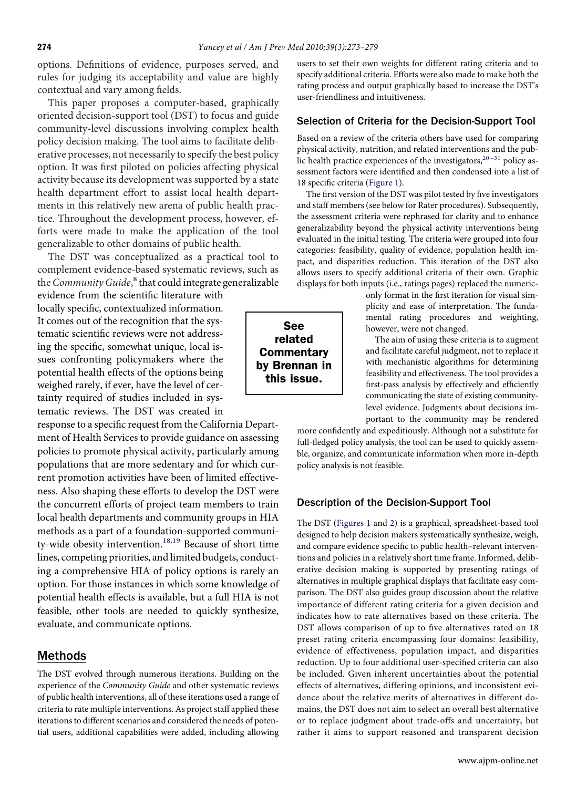options. Defınitions of evidence, purposes served, and rules for judging its acceptability and value are highly contextual and vary among fıelds.

This paper proposes a computer-based, graphically oriented decision-support tool (DST) to focus and guide community-level discussions involving complex health policy decision making. The tool aims to facilitate deliberative processes, not necessarily to specify the best policy option. It was fırst piloted on policies affecting physical activity because its development was supported by a state health department effort to assist local health departments in this relatively new arena of public health practice. Throughout the development process, however, efforts were made to make the application of the tool generalizable to other domains of public health.

The DST was conceptualized as a practical tool to complement evidence-based systematic reviews, such as the Community Guide,<sup>[8](#page-5-0)</sup> that could integrate generalizable

evidence from the scientifıc literature with locally specifıc, contextualized information. It comes out of the recognition that the systematic scientifıc reviews were not addressing the specifıc, somewhat unique, local issues confronting policymakers where the potential health effects of the options being weighed rarely, if ever, have the level of certainty required of studies included in systematic reviews. The DST was created in

response to a specifıc request from the California Department of Health Services to provide guidance on assessing policies to promote physical activity, particularly among populations that are more sedentary and for which current promotion activities have been of limited effectiveness. Also shaping these efforts to develop the DST were the concurrent efforts of project team members to train local health departments and community groups in HIA methods as a part of a foundation-supported communi-ty-wide obesity intervention.<sup>[18,19](#page-6-0)</sup> Because of short time lines, competing priorities, and limited budgets, conducting a comprehensive HIA of policy options is rarely an option. For those instances in which some knowledge of potential health effects is available, but a full HIA is not feasible, other tools are needed to quickly synthesize, evaluate, and communicate options.

## Methods

The DST evolved through numerous iterations. Building on the experience of the Community Guide and other systematic reviews of public health interventions, all of these iterations used a range of criteria to rate multiple interventions. As project staff applied these iterations to different scenarios and considered the needs of potential users, additional capabilities were added, including allowing

users to set their own weights for different rating criteria and to specify additional criteria. Efforts were also made to make both the rating process and output graphically based to increase the DST's user-friendliness and intuitiveness.

#### Selection of Criteria for the Decision-Support Tool

Based on a review of the criteria others have used for comparing physical activity, nutrition, and related interventions and the public health practice experiences of the investigators, $20 - 31$  policy assessment factors were identifıed and then condensed into a list of 18 specifıc criteria [\(Figure 1\)](#page-2-0).

The fırst version of the DST was pilot tested by fıve investigators and staff members (see below for Rater procedures). Subsequently, the assessment criteria were rephrased for clarity and to enhance generalizability beyond the physical activity interventions being evaluated in the initial testing. The criteria were grouped into four categories: feasibility, quality of evidence, population health impact, and disparities reduction. This iteration of the DST also allows users to specify additional criteria of their own. Graphic displays for both inputs (i.e., ratings pages) replaced the numeric-

> only format in the fırst iteration for visual simplicity and ease of interpretation. The fundamental rating procedures and weighting, however, were not changed.

> The aim of using these criteria is to augment and facilitate careful judgment, not to replace it with mechanistic algorithms for determining feasibility and effectiveness. The tool provides a fırst-pass analysis by effectively and effıciently communicating the state of existing communitylevel evidence. Judgments about decisions important to the community may be rendered

more confıdently and expeditiously. Although not a substitute for full-fledged policy analysis, the tool can be used to quickly assemble, organize, and communicate information when more in-depth policy analysis is not feasible.

#### Description of the Decision-Support Tool

The DST [\(Figures 1](#page-2-0) and [2\)](#page-3-0) is a graphical, spreadsheet-based tool designed to help decision makers systematically synthesize, weigh, and compare evidence specifıc to public health–relevant interventions and policies in a relatively short time frame. Informed, deliberative decision making is supported by presenting ratings of alternatives in multiple graphical displays that facilitate easy comparison. The DST also guides group discussion about the relative importance of different rating criteria for a given decision and indicates how to rate alternatives based on these criteria. The DST allows comparison of up to fıve alternatives rated on 18 preset rating criteria encompassing four domains: feasibility, evidence of effectiveness, population impact, and disparities reduction. Up to four additional user-specifıed criteria can also be included. Given inherent uncertainties about the potential effects of alternatives, differing opinions, and inconsistent evidence about the relative merits of alternatives in different domains, the DST does not aim to select an overall best alternative or to replace judgment about trade-offs and uncertainty, but rather it aims to support reasoned and transparent decision

www.ajpm-online.net

See related **Commentary** by Brennan in this issue.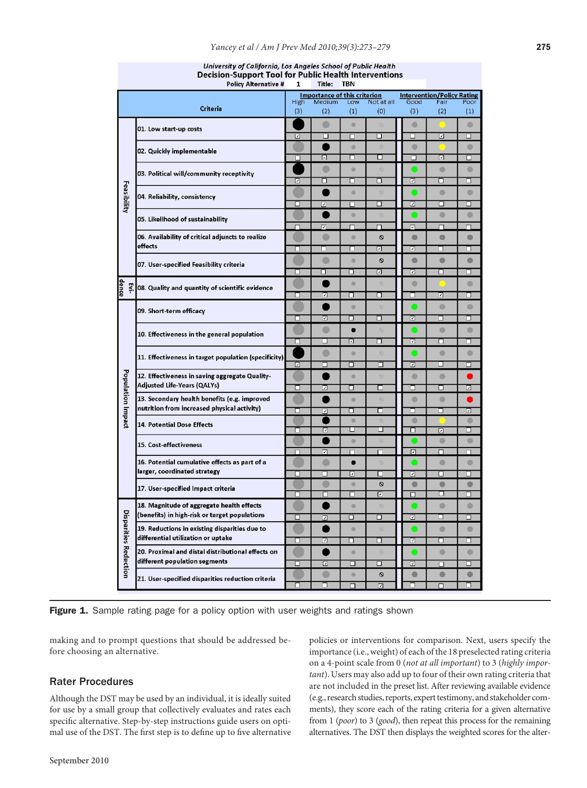|                              | Decision-Support Tool for Public Health Interventions<br><b>Policy Alternative #</b><br>Title:<br><b>TBN</b><br>1                                                                 |             |                |                                     |                         |                                   |             |             |
|------------------------------|-----------------------------------------------------------------------------------------------------------------------------------------------------------------------------------|-------------|----------------|-------------------------------------|-------------------------|-----------------------------------|-------------|-------------|
|                              |                                                                                                                                                                                   |             |                | <b>Importance of this criterion</b> |                         | <b>Intervention/Policy Rating</b> |             |             |
|                              | Criteria                                                                                                                                                                          | High<br>(3) | Medium<br>(2)  | Low<br>(1)                          | Not at all<br>(0)       | Good<br>(3)                       | Fair<br>(2) | Poor<br>(1) |
|                              | 01. Low start-up costs                                                                                                                                                            |             | $\bullet$      | o                                   | $\circ$                 | $\bullet$                         |             | 0           |
|                              |                                                                                                                                                                                   |             | □              | п                                   | □                       | □                                 | ⊡           | □           |
|                              | 02. Quickly implementable                                                                                                                                                         |             |                | $\bullet$                           | $\infty$                | $\bullet$                         |             | $\bullet$   |
| Feasibility                  |                                                                                                                                                                                   |             | ⊡              | □                                   | α                       | □                                 | ⊡           | □           |
|                              | 03. Political will/community receptivity                                                                                                                                          |             | $\circ$        | ö                                   | $\overline{\mathbb{O}}$ |                                   | $\circ$     | $\circ$     |
|                              |                                                                                                                                                                                   |             | □              | □                                   | ◻                       | ⊡                                 | ◻           | □           |
|                              | 04. Reliability, consistency                                                                                                                                                      |             |                | $\bullet$                           | $\circledcirc$          |                                   | $\circ$     | ۰           |
|                              |                                                                                                                                                                                   | □           | $\overline{v}$ | П                                   | ◻                       | ⊡                                 | п           | □           |
|                              | 05. Likelihood of sustainability                                                                                                                                                  |             |                | ö                                   | $\circ$                 |                                   | $\circ$     | O           |
|                              |                                                                                                                                                                                   | п           | ⊡              | п                                   | п                       | $\overline{z}$                    | □           | ⊓           |
|                              | 06. Availability of critical adjuncts to realize<br>effects                                                                                                                       | r           | O              | ø                                   | $\circ$                 | ۰                                 | O           | O           |
|                              |                                                                                                                                                                                   |             | □              | □                                   | ⊡                       | ⊡                                 | □           | □           |
|                              | 07. User-specified Feasibility criteria                                                                                                                                           |             | $\bullet$      | ö                                   | $\circ$                 | $\bullet$                         | $\bullet$   | $\bullet$   |
|                              |                                                                                                                                                                                   | ◻           | п              | ◻                                   | ⊡                       | ⊡                                 | ◻           | ◻           |
| dence<br>Evi-                | 08. Quality and quantity of scientific evidence                                                                                                                                   |             |                | ō                                   | $\otimes$               | $\bullet$                         |             | 0           |
|                              | 09. Short-term efficacy                                                                                                                                                           | □           | ⊡              | □                                   | п                       | ┓                                 | ⊡           | □           |
|                              |                                                                                                                                                                                   |             |                | ö                                   | $\circ$                 |                                   | $\circ$     | Ó           |
|                              |                                                                                                                                                                                   | ◻           | ⊡              | ◻                                   | ◻                       | ⊡                                 | □           | □           |
|                              | 10. Effectiveness in the general population                                                                                                                                       |             | $\bullet$      | $\bullet$                           | $\overline{\circ}$      |                                   | $\circ$     | $\bullet$   |
|                              |                                                                                                                                                                                   | □           | □              | ⊡                                   | ◻                       | 刁                                 | □           | □           |
|                              | 11. Effectiveness in target population (specificity)                                                                                                                              |             | $\bullet$      | ö                                   | $\circ$                 |                                   | $\bullet$   | $\bullet$   |
|                              |                                                                                                                                                                                   | ⊡           | □              | □                                   | ┑                       | ञ                                 | п           | п           |
| Population Impact            | 12. Effectiveness in saving aggregate Quality-<br><b>Adjusted Life-Years (QALYs)</b>                                                                                              |             |                | ۰                                   | $\circledcirc$          | $\blacksquare$                    | $\circ$     |             |
|                              |                                                                                                                                                                                   | п           | ⊡              | □                                   | □                       | □                                 | ◻           | ⊡           |
|                              | 13. Secondary health benefits (e.g. improved<br>nutrition from increased physical activity)                                                                                       |             |                | ö                                   | $\circ$                 | $\bullet$                         | $\bullet$   |             |
|                              |                                                                                                                                                                                   |             | ञ              | ◻<br>ö                              | ◻                       | □<br>$\bullet$                    | □           | ⊡<br>O      |
|                              | <b>14. Potential Dose Effects</b>                                                                                                                                                 |             | ⊡              | □                                   | □                       | п                                 | 冋           | □           |
|                              | 15. Cost-effectiveness                                                                                                                                                            |             |                | o                                   |                         |                                   | O           | 0           |
|                              |                                                                                                                                                                                   |             | ⊡              | п                                   | $\Box$                  | 冋                                 | п           | п           |
|                              | 16. Potential cumulative effects as part of a<br>larger, coordinated strategy                                                                                                     |             | $\bullet$      | $\bullet$                           | $\overline{\mathbb{S}}$ |                                   | $\circ$     | $\bullet$   |
|                              |                                                                                                                                                                                   |             | □              | ⊡                                   | ◻                       | ⊡                                 | □           | □           |
|                              | 17. User-specified Impact criteria                                                                                                                                                |             |                | e                                   | $\circ$                 | $\bullet$                         | C           | O           |
|                              |                                                                                                                                                                                   |             | г              | □                                   | ⊡                       | □                                 | □           | □           |
|                              | 18. Magnitude of aggregate health effects<br>(benefits) in high-risk or target populations<br>19. Reductions in existing disparities due to<br>differential utilization or uptake |             |                | ö                                   | $\circ$                 |                                   | $\bullet$   | $\bullet$   |
|                              |                                                                                                                                                                                   |             | ⊡              | ◻                                   | ◻                       | ⊡                                 | □           | □           |
|                              |                                                                                                                                                                                   |             |                | ö                                   | $\circ$                 |                                   | $\bullet$   | $\bullet$   |
|                              |                                                                                                                                                                                   |             | ⊡              | ◻                                   | п                       | 刁                                 | ◻           | ⊐           |
| <b>Disparities Reduction</b> | 20. Proximal and distal distributional effects on<br>different population segments                                                                                                |             |                | ö                                   | $\circ$                 |                                   | $\circ$     | $\bullet$   |
|                              |                                                                                                                                                                                   |             | ☑              | □                                   | ◻                       | ⊡                                 | п           | □           |
|                              | 21. User-specified disparities reduction criteria                                                                                                                                 |             | O              | ö                                   | Ø                       | ۰                                 | O           | Ō           |
|                              |                                                                                                                                                                                   |             | □              | ⊓                                   | ज                       |                                   | п           | □           |

University of California, Los Angeles School of Public Health

Figure 1. Sample rating page for a policy option with user weights and ratings shown

making and to prompt questions that should be addressed before choosing an alternative.

### Rater Procedures

<span id="page-2-0"></span>Although the DST may be used by an individual, it is ideally suited for use by a small group that collectively evaluates and rates each specifıc alternative. Step-by-step instructions guide users on optimal use of the DST. The fırst step is to defıne up to fıve alternative policies or interventions for comparison. Next, users specify the importance (i.e., weight) of each of the 18 preselected rating criteria on a 4-point scale from 0 (not at all important) to 3 (highly important). Users may also add up to four of their own rating criteria that are not included in the preset list. After reviewing available evidence (e.g., research studies, reports, expert testimony, and stakeholder comments), they score each of the rating criteria for a given alternative from 1 (poor) to 3 (good), then repeat this process for the remaining alternatives. The DST then displays the weighted scores for the alter-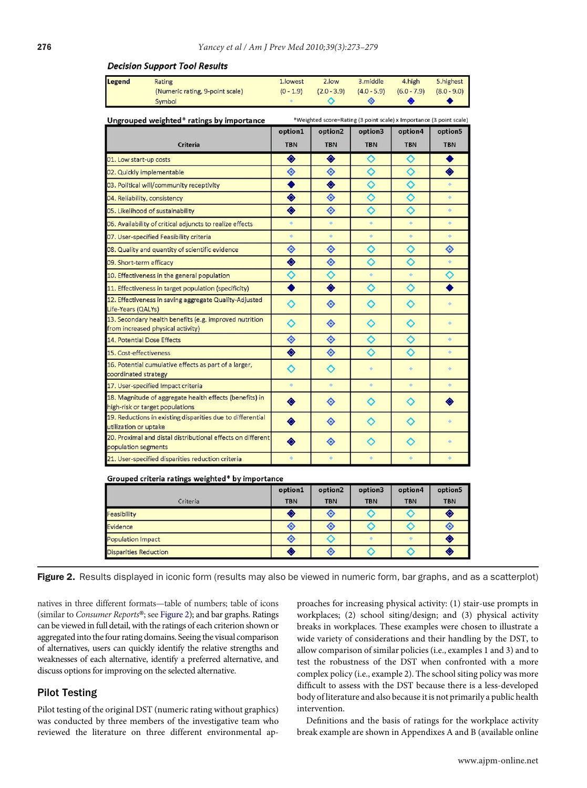| Legend<br>Rating                                                                                                 | 1.lowest         | 2.low               | 3. middle     | 4.high        | 5. highest    |  |  |
|------------------------------------------------------------------------------------------------------------------|------------------|---------------------|---------------|---------------|---------------|--|--|
| (Numeric rating, 9-point scale)                                                                                  | $(0 - 1.9)$      | $(2.0 - 3.9)$       | $(4.0 - 5.9)$ | $(6.0 - 7.9)$ | $(8.0 - 9.0)$ |  |  |
| Symbol                                                                                                           | ø.               | ◇                   | ◈             | ۰             |               |  |  |
| *Weighted score=Rating (3 point scale) x Importance (3 point scale)<br>Ungrouped weighted* ratings by importance |                  |                     |               |               |               |  |  |
|                                                                                                                  | option1          | option <sub>2</sub> | option3       | option4       | option5       |  |  |
| <b>Criteria</b>                                                                                                  | <b>TBN</b>       | <b>TBN</b>          | <b>TBN</b>    | <b>TBN</b>    | <b>TBN</b>    |  |  |
| 01. Low start-up costs                                                                                           | ◈                | ◈                   | ♦             | ♦             | ٠             |  |  |
| 02. Quickly implementable                                                                                        | ◈                | ◈                   | ♦             | ◇             | ♦             |  |  |
| 03. Political will/community receptivity                                                                         | $\bullet$        | ◈                   | ♦             | ♦             | ۰             |  |  |
| 04. Reliability, consistency                                                                                     | ◈                | ◈                   | ◇             | ◇             | ۰             |  |  |
| 05. Likelihood of sustainability                                                                                 | ♦                | ◈                   | ♦             | ♦             | ò             |  |  |
| 06. Availability of critical adjuncts to realize effects                                                         | 4                | ó                   | $\ddot{\phi}$ | $\ddot{\Phi}$ | ö             |  |  |
| 07. User-specified Feasibility criteria                                                                          | o                | ó.                  | o             | $\circ$       | ٠             |  |  |
| 08. Quality and quantity of scientific evidence                                                                  | ◈                | ◈                   | ♦             | ♦             | ◈             |  |  |
| 09. Short-term efficacy                                                                                          | ◈                | ◈                   | ♦             | ♦             | $\Phi$        |  |  |
| 10. Effectiveness in the general population                                                                      | ◇                | ◇                   | ö.            | $\Phi$        | ◇             |  |  |
| 11. Effectiveness in target population (specificity)                                                             | $\bullet$        | ◈                   | ♦             | ♦             |               |  |  |
| 12. Effectiveness in saving aggregate Quality-Adjusted<br>Life-Years (QALYs)                                     | ♦                | ◈                   | ♦             | ♦             | ò             |  |  |
| 13. Secondary health benefits (e.g. improved nutrition<br>from increased physical activity)                      | ◇                | ◈                   | ♦             | ◇             | ö             |  |  |
| 14. Potential Dose Effects                                                                                       | ◈                | ◈                   | ♦             | ♦             | ò.            |  |  |
| 15. Cost-effectiveness                                                                                           | ◈                | ◈                   | ♦             | ♦             | ö             |  |  |
| 16. Potential cumulative effects as part of a larger,<br>coordinated strategy                                    | ♦                | ♦                   | ò.            | $\Phi$        | ò             |  |  |
| 17. User-specified Impact criteria                                                                               | $\Phi$           | $\ddot{\Phi}$       | $\Phi$        | $\ddot{\Phi}$ | $\ddot{\phi}$ |  |  |
| 18. Magnitude of aggregate health effects (benefits) in<br>high-risk or target populations                       | ♦                | ◈                   | ◇             | ◇             | ◈             |  |  |
| 19. Reductions in existing disparities due to differential<br>utilization or uptake                              | ♦                | ◈                   | ◇             | ◇             | ö             |  |  |
| 20. Proximal and distal distributional effects on different<br>population segments                               | ♦                | ◈                   | ♦             | ◇             | 4             |  |  |
| 21. User-specified disparities reduction criteria                                                                | ö                | $\ddot{\phi}$       | ÷             | ۰             | ÷             |  |  |
| Grouped criteria ratings weighted* by importance                                                                 |                  |                     |               |               |               |  |  |
|                                                                                                                  | option1          | option2             | option3       | option4       | option5       |  |  |
| Criteria                                                                                                         | <b>TBN</b>       | <b>TBN</b>          | <b>TBN</b>    | <b>TBN</b>    | <b>TBN</b>    |  |  |
| Feasibility                                                                                                      | $\ddot{\bullet}$ | ◈                   | $\Diamond$    | ♦             | $\bullet$     |  |  |

#### **Decision Support Tool Results**

Figure 2. Results displayed in iconic form (results may also be viewed in numeric form, bar graphs, and as a scatterplot)

 $\hat{\bullet}$ 

◈

♦

◈

♦

◈

 $\overline{\diamond}$ 

ö

♦

natives in three different formats—table of numbers; table of icons (similar to Consumer Reports®; see [Figure 2\)](#page-3-0); and bar graphs. Ratings can be viewed in full detail, with the ratings of each criterion shown or aggregated into the four rating domains. Seeing the visual comparison of alternatives, users can quickly identify the relative strengths and weaknesses of each alternative, identify a preferred alternative, and discuss options for improving on the selected alternative.

vidence opulation Impact

Disparities Reduction

#### Pilot Testing

<span id="page-3-0"></span>Pilot testing of the original DST (numeric rating without graphics) was conducted by three members of the investigative team who reviewed the literature on three different environmental approaches for increasing physical activity: (1) stair-use prompts in workplaces; (2) school siting/design; and (3) physical activity breaks in workplaces. These examples were chosen to illustrate a wide variety of considerations and their handling by the DST, to allow comparison of similar policies (i.e., examples 1 and 3) and to test the robustness of the DST when confronted with a more complex policy (i.e., example 2). The school siting policy was more diffıcult to assess with the DST because there is a less-developed body of literature and also because it is not primarily a public health intervention.

 $\Diamond$ 

 $\ddot{\phi}$ 

♦

◈

♦

♦

Defınitions and the basis of ratings for the workplace activity break example are shown in Appendixes A and B (available online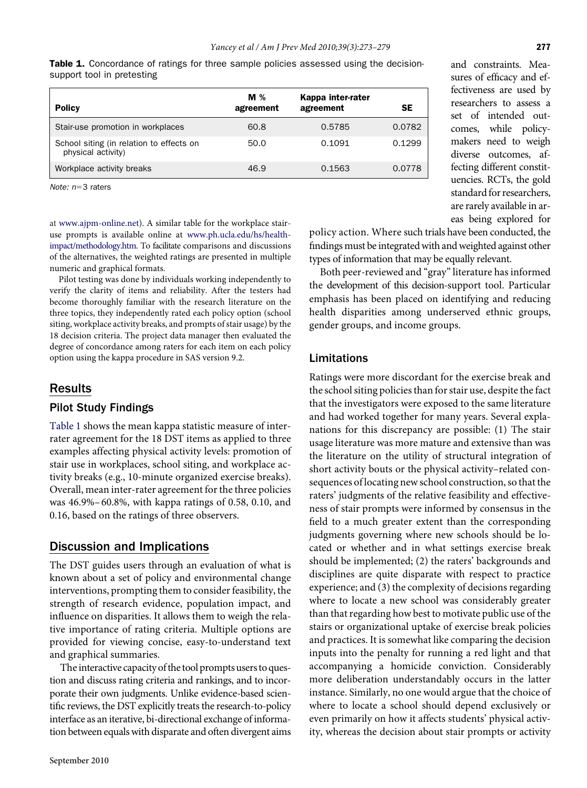| <b>Table 1.</b> Concordance of ratings for three sample policies assessed using the decision- |  |  |  |  |
|-----------------------------------------------------------------------------------------------|--|--|--|--|
| support tool in pretesting                                                                    |  |  |  |  |

| <b>Policy</b>                                                  | $M\%$<br>agreement | Kappa inter-rater<br>agreement | <b>SE</b> |
|----------------------------------------------------------------|--------------------|--------------------------------|-----------|
| Stair-use promotion in workplaces                              | 60.8               | 0.5785                         | 0.0782    |
| School siting (in relation to effects on<br>physical activity) | 50.0               | 0.1091                         | 0.1299    |
| Workplace activity breaks                                      | 46.9               | 0.1563                         | 0.0778    |

Note:  $n=3$  raters

at [www.ajpm-online.net\)](http://www.ajpm-online.net). A similar table for the workplace stairuse prompts is available online at [www.ph.ucla.edu/hs/health](http://www.ph.ucla.edu/hs/health-impact/methodology.htm)[impact/methodology.htm.](http://www.ph.ucla.edu/hs/health-impact/methodology.htm) To facilitate comparisons and discussions of the alternatives, the weighted ratings are presented in multiple numeric and graphical formats.

Pilot testing was done by individuals working independently to verify the clarity of items and reliability. After the testers had become thoroughly familiar with the research literature on the three topics, they independently rated each policy option (school siting, workplace activity breaks, and prompts of stair usage) by the 18 decision criteria. The project data manager then evaluated the degree of concordance among raters for each item on each policy option using the kappa procedure in SAS version 9.2.

## Results

## Pilot Study Findings

[Table 1](#page-4-0) shows the mean kappa statistic measure of interrater agreement for the 18 DST items as applied to three examples affecting physical activity levels: promotion of stair use in workplaces, school siting, and workplace activity breaks (e.g., 10-minute organized exercise breaks). Overall, mean inter-rater agreement for the three policies was 46.9%– 60.8%, with kappa ratings of 0.58, 0.10, and 0.16, based on the ratings of three observers.

## Discussion and Implications

The DST guides users through an evaluation of what is known about a set of policy and environmental change interventions, prompting them to consider feasibility, the strength of research evidence, population impact, and influence on disparities. It allows them to weigh the relative importance of rating criteria. Multiple options are provided for viewing concise, easy-to-understand text and graphical summaries.

<span id="page-4-0"></span>The interactive capacity of the tool prompts users to question and discuss rating criteria and rankings, and to incorporate their own judgments. Unlike evidence-based scientifıc reviews, the DST explicitly treats the research-to-policy interface as an iterative, bi-directional exchange of information between equals with disparate and often divergent aims policy action. Where such trials have been conducted, the fındings must be integrated with and weighted against other types of information that may be equally relevant.

Both peer-reviewed and "gray" literature has informed the development of this decision-support tool. Particular emphasis has been placed on identifying and reducing health disparities among underserved ethnic groups, gender groups, and income groups.

## Limitations

Ratings were more discordant for the exercise break and the school siting policies than for stair use, despite the fact that the investigators were exposed to the same literature and had worked together for many years. Several explanations for this discrepancy are possible: (1) The stair usage literature was more mature and extensive than was the literature on the utility of structural integration of short activity bouts or the physical activity–related consequences of locating new school construction, so that the raters' judgments of the relative feasibility and effectiveness of stair prompts were informed by consensus in the fıeld to a much greater extent than the corresponding judgments governing where new schools should be located or whether and in what settings exercise break should be implemented; (2) the raters' backgrounds and disciplines are quite disparate with respect to practice experience; and (3) the complexity of decisions regarding where to locate a new school was considerably greater than that regarding how best to motivate public use of the stairs or organizational uptake of exercise break policies and practices. It is somewhat like comparing the decision inputs into the penalty for running a red light and that accompanying a homicide conviction. Considerably more deliberation understandably occurs in the latter instance. Similarly, no one would argue that the choice of where to locate a school should depend exclusively or even primarily on how it affects students' physical activity, whereas the decision about stair prompts or activity

and constraints. Measures of effıcacy and effectiveness are used by researchers to assess a set of intended outcomes, while policymakers need to weigh diverse outcomes, affecting different constituencies. RCTs, the gold standard for researchers, are rarely available in areas being explored for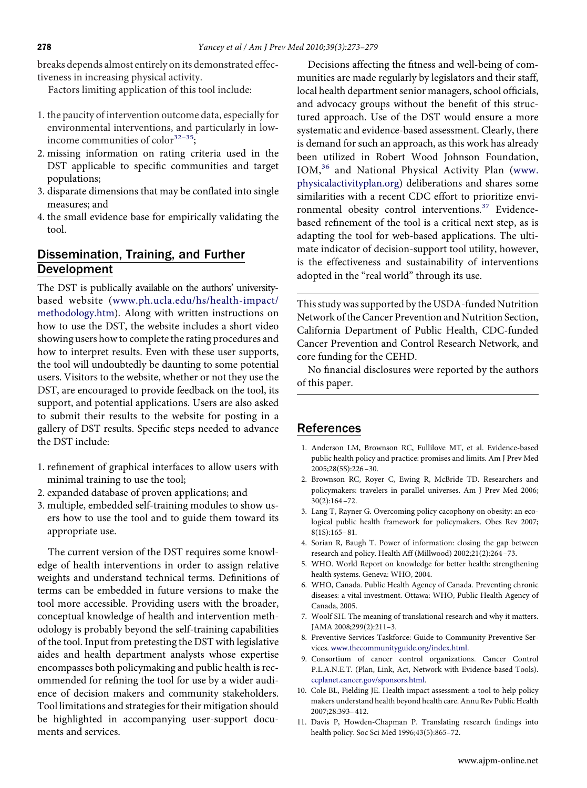breaks depends almost entirely on its demonstrated effectiveness in increasing physical activity.

Factors limiting application of this tool include:

- 1. the paucity of intervention outcome data, especially for environmental interventions, and particularly in lowincome communities of color<sup>32–35</sup>;
- 2. missing information on rating criteria used in the DST applicable to specifıc communities and target populations;
- 3. disparate dimensions that may be conflated into single measures; and
- 4. the small evidence base for empirically validating the tool.

## Dissemination, Training, and Further Development

The DST is publically available on the authors' universitybased website [\(www.ph.ucla.edu/hs/health-impact/](http://www.ph.ucla.edu/hs/health-impact/methodology.htm) [methodology.htm\)](http://www.ph.ucla.edu/hs/health-impact/methodology.htm). Along with written instructions on how to use the DST, the website includes a short video showing users how to complete the rating procedures and how to interpret results. Even with these user supports, the tool will undoubtedly be daunting to some potential users. Visitors to the website, whether or not they use the DST, are encouraged to provide feedback on the tool, its support, and potential applications. Users are also asked to submit their results to the website for posting in a gallery of DST results. Specifıc steps needed to advance the DST include:

- 1. refınement of graphical interfaces to allow users with minimal training to use the tool;
- 2. expanded database of proven applications; and
- 3. multiple, embedded self-training modules to show users how to use the tool and to guide them toward its appropriate use.

<span id="page-5-0"></span>The current version of the DST requires some knowledge of health interventions in order to assign relative weights and understand technical terms. Defınitions of terms can be embedded in future versions to make the tool more accessible. Providing users with the broader, conceptual knowledge of health and intervention methodology is probably beyond the self-training capabilities of the tool. Input from pretesting the DST with legislative aides and health department analysts whose expertise encompasses both policymaking and public health is recommended for refıning the tool for use by a wider audience of decision makers and community stakeholders. Tool limitations and strategies for their mitigation should be highlighted in accompanying user-support documents and services.

Decisions affecting the fıtness and well-being of communities are made regularly by legislators and their staff, local health department senior managers, school offıcials, and advocacy groups without the benefıt of this structured approach. Use of the DST would ensure a more systematic and evidence-based assessment. Clearly, there is demand for such an approach, as this work has already been utilized in Robert Wood Johnson Foundation, IOM,[36](#page-6-0) and National Physical Activity Plan [\(www.](http://www.physicalactivityplan.org) [physicalactivityplan.org\)](http://www.physicalactivityplan.org) deliberations and shares some similarities with a recent CDC effort to prioritize envi-ronmental obesity control interventions.<sup>[37](#page-6-0)</sup> Evidencebased refınement of the tool is a critical next step, as is adapting the tool for web-based applications. The ultimate indicator of decision-support tool utility, however, is the effectiveness and sustainability of interventions adopted in the "real world" through its use.

This study was supported by the USDA-funded Nutrition Network of the Cancer Prevention and Nutrition Section, California Department of Public Health, CDC-funded Cancer Prevention and Control Research Network, and core funding for the CEHD.

No fınancial disclosures were reported by the authors of this paper.

### References

- 1. Anderson LM, Brownson RC, Fullilove MT, et al. Evidence-based public health policy and practice: promises and limits. Am J Prev Med 2005;28(5S):226 –30.
- 2. Brownson RC, Royer C, Ewing R, McBride TD. Researchers and policymakers: travelers in parallel universes. Am J Prev Med 2006; 30(2):164 –72.
- 3. Lang T, Rayner G. Overcoming policy cacophony on obesity: an ecological public health framework for policymakers. Obes Rev 2007; 8(1S):165– 81.
- 4. Sorian R, Baugh T. Power of information: closing the gap between research and policy. Health Aff (Millwood) 2002;21(2):264 –73.
- 5. WHO. World Report on knowledge for better health: strengthening health systems. Geneva: WHO, 2004.
- 6. WHO, Canada. Public Health Agency of Canada. Preventing chronic diseases: a vital investment. Ottawa: WHO, Public Health Agency of Canada, 2005.
- 7. Woolf SH. The meaning of translational research and why it matters. JAMA 2008;299(2):211–3.
- 8. Preventive Services Taskforce: Guide to Community Preventive Services. [www.thecommunityguide.org/index.html.](http://www.thecommunityguide.org/index.html)
- 9. Consortium of cancer control organizations. Cancer Control P.L.A.N.E.T. (Plan, Link, Act, Network with Evidence-based Tools). [ccplanet.cancer.gov/sponsors.html.](http://ccplanet.cancer.gov/sponsors.html)
- 10. Cole BL, Fielding JE. Health impact assessment: a tool to help policy makers understand health beyond health care. Annu Rev Public Health 2007;28:393– 412.
- 11. Davis P, Howden-Chapman P. Translating research fındings into health policy. Soc Sci Med 1996;43(5):865–72.